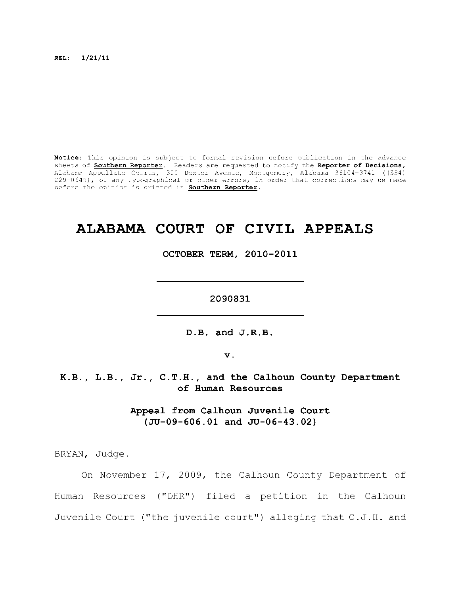**REL: 1/21/11** 

Notice: This opinion is subject to formal revision before publication in the advance sheets of **Southern Reporter**. Readers are requested to notify the Reporter of Decisions, Alabama Appellate Courts, 300 Dexter Avenue, Montgomery, Alabama 36104-3741 ((334) 229-0649), of any typographical or other errors, in order that corrections may be made before the opinion is printed in **Southern Reporter**.

# **ALABAMA COURT OF CIVIL APPEALS**

**OCTOBER TERM, 2010-2011** 

**2090831** 

**D.B. and J.R.B.** 

**v.** 

**K.B., L.B., Jr. , C.T.H., and the Calhoun County Department of Human Resources** 

> **Appeal from Calhoun Juvenile Court (JU-09-606.01 and JU-06-43.02)**

BRYAN, Judge.

On November 17, 2009, the Calhoun County Department of Human Resources ("DHR") filed a petition in the Calhoun Juvenile Court ("the juvenile court") alleging that C.J.H. and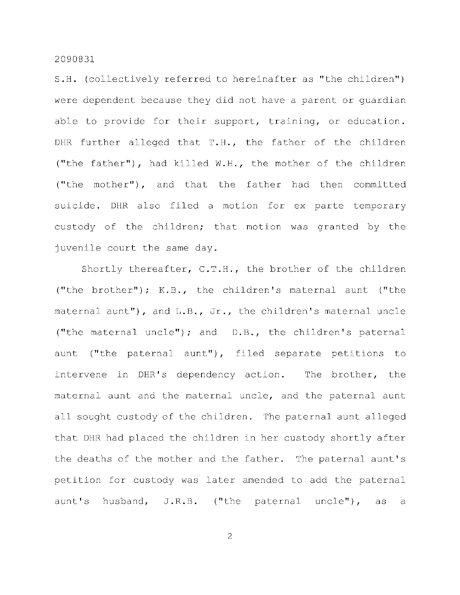S.H. (collectively referred to hereinafter as "the children") were dependent because they did not have a parent or quardian able to provide for their support, training, or education. DHR further alleged that  $T.H.,$  the father of the children ("the father"), had killed  $W.H.,$  the mother of the children ("the mother"), and that the father had then committed suicide. DHR also filed a motion for ex parte temporary custody of the children; that motion was granted by the juvenile court the same day.

Shortly thereafter, C.T.H., the brother of the children ("the brother"); K.B., the children's maternal aunt ("the maternal aunt"), and  $L.B., Jr.,$  the children's maternal uncle ("the maternal uncle"); and  $D.B.,$  the children's paternal aunt ("the paternal aunt"), filed separate petitions to intervene in DHR's dependency action. The brother, the maternal aunt and the maternal uncle, and the paternal aunt all sought custody of the children. The paternal aunt alleged that DHR had placed the children in her custody shortly after the deaths of the mother and the father. The paternal aunt's petition for custody was later amended to add the paternal aunt's husband,  $J.R.B.$  ("the paternal uncle"), as a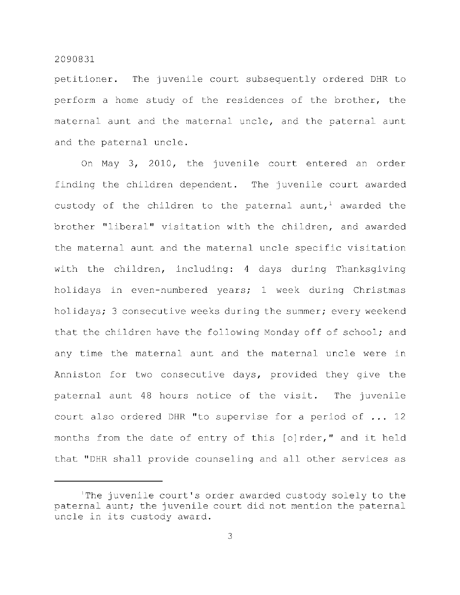petitioner. The juvenile court subsequently ordered DHR to perform a home study of the residences of the brother, the maternal aunt and the maternal uncle, and the paternal aunt and the paternal uncle.

On May  $3$ , 2010, the juvenile court entered an order finding the children dependent. The juvenile court awarded custody of the children to the paternal aunt,<sup>1</sup> awarded the brother "liberal" visitation with the children, and awarded the maternal aunt and the maternal uncle specific visitation with the children, including: 4 days during Thanksgiving holidays in even-numbered years; 1 week during Christmas holidays; 3 consecutive weeks during the summer; every weekend that the children have the following Monday off of school; and any time the maternal aunt and the maternal uncle were in Anniston for two consecutive days, provided they give the paternal aunt 48 hours notice of the visit. The juvenile court also ordered DHR "to supervise for a period of  $\ldots$  12 months from the date of entry of this [o]rder," and it held that "DHR shall provide counseling and all other services as

The juvenile court's order awarded custody solely to the paternal aunt; the juvenile court did not mention the paternal uncle in its custody award.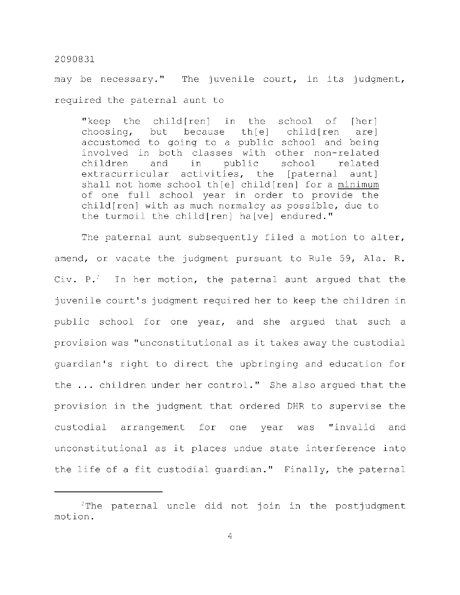may be necessary." The juvenile court, in its judgment, required the paternal aunt to

"keep the child[ren] in the school of  $[her]$ choosing, but because th $[e]$  child $[ren$  are ] accustomed to going to a public school and being involved in both classes with other non-related children and in public school related extracurricular activities, the [paternal aunt] shall not home school th $[e]$  child $[ren]$  for a minimum of one full school year in order to provide the  $child[ren]$  with as much normalcy as possible, due to the turmoil the child[ren] ha[ve] endured."

The paternal aunt subsequently filed a motion to alter, amend, or vacate the judgment pursuant to Rule 59, Ala. R. Civ. P.<sup>2</sup> In her motion, the paternal aunt argued that the juvenile court's judgment required her to keep the children in public school for one year, and she argued that such a provision was "unconstitutional as it takes away the custodial quardian's right to direct the upbringing and education for the ... children under her control." She also argued that the provision in the judgment that ordered DHR to supervise the custodial arrangement for one year was "invalid and unconstitutional as it places undue state interference into the life of a fit custodial guardian." Finally, the paternal

 $2$ The paternal uncle did not join in the postjudgment motion .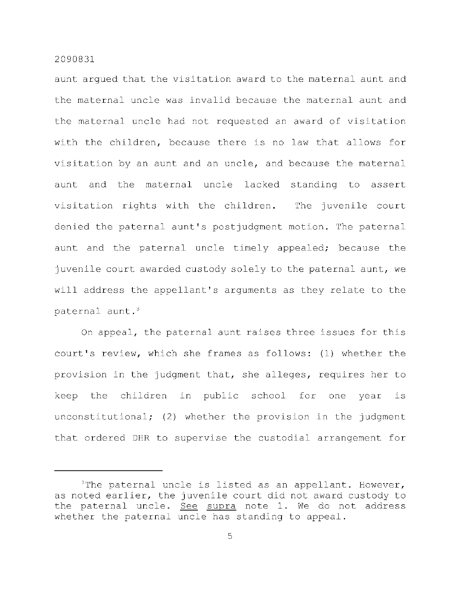aunt arqued that the visitation award to the maternal aunt and the maternal uncle was invalid because the maternal aunt and the maternal uncle had not requested an award of visitation with the children, because there is no law that allows for visitation by an aunt and an uncle, and because the maternal aunt and the maternal uncle lacked standing to assert visitation rights with the children. The juvenile court denied the paternal aunt's postjudgment motion. The paternal aunt and the paternal uncle timely appealed; because the juvenile court awarded custody solely to the paternal aunt, we will address the appellant's arguments as they relate to the paternal aunt. $3$ 

On appeal, the paternal aunt raises three issues for this court's review, which she frames as follows: (1) whether the provision in the judgment that, she alleges, requires her to keep the children in public school for one year is unconstitutional; (2) whether the provision in the judgment that ordered DHR to supervise the custodial arrangement for

 $3$ The paternal uncle is listed as an appellant. However, as noted earlier, the juvenile court did not award custody to the paternal uncle. See supra note 1. We do not address whether the paternal uncle has standing to appeal.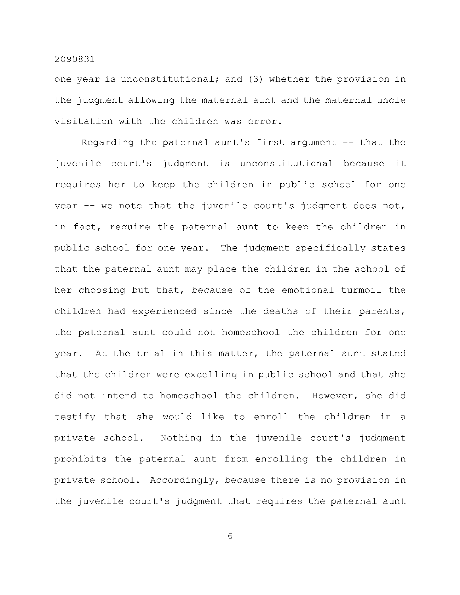one year is unconstitutional; and (3) whether the provision in the judgment allowing the maternal aunt and the maternal uncle visitation with the children was error.

Regarding the paternal aunt's first argument  $-$  that the juvenile court's judgment is unconstitutional because it requires her to keep the children in public school for one year  $-$ - we note that the juvenile court's judgment does not, in fact, require the paternal aunt to keep the children in public school for one year. The judgment specifically states that the paternal aunt may place the children in the school of her choosing but that, because of the emotional turmoil the children had experienced since the deaths of their parents, the paternal aunt could not homeschool the children for one year. At the trial in this matter, the paternal aunt stated that the children were excelling in public school and that she did not intend to homeschool the children. However, she did testify that she would like to enroll the children in a private school. Nothing in the juvenile court's judgment prohibits the paternal aunt from enrolling the children in private school. Accordingly, because there is no provision in the juvenile court's judgment that requires the paternal aunt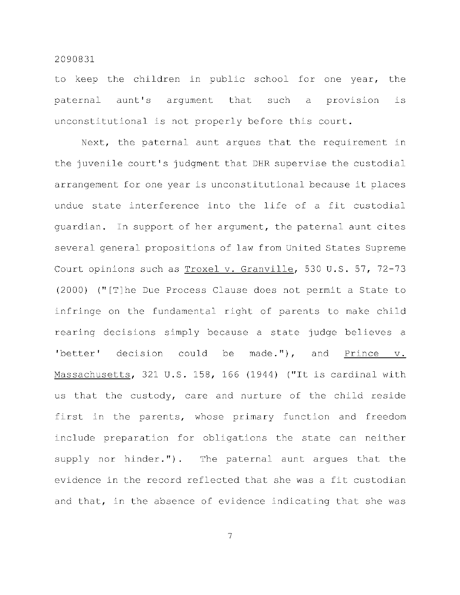to keep the children in public school for one year, the paternal aunt's argument that such a provision is unconstitutional is not properly before this court.

Next, the paternal aunt argues that the requirement in the juvenile court's judgment that DHR supervise the custodial arrangement for one year is unconstitutional because it places undue state interference into the life of a fit custodial guardian. In support of her argument, the paternal aunt cites several general propositions of law from United States Supreme Court opinions such as Troxel v. Granville, 530 U.S. 57, 72-73  $(2000)$  ("[T]he Due Process Clause does not permit a State to infringe on the fundamental right of parents to make child rearing decisions simply because a state judge believes a 'better' decision could be made."), and Prince  $v$ . Massachusetts, 321 U.S. 158, 166 (1944) ("It is cardinal with us that the custody, care and nurture of the child reside first in the parents, whose primary function and freedom include preparation for obligations the state can neither supply nor hinder."). The paternal aunt argues that the evidence in the record reflected that she was a fit custodian and that, in the absence of evidence indicating that she was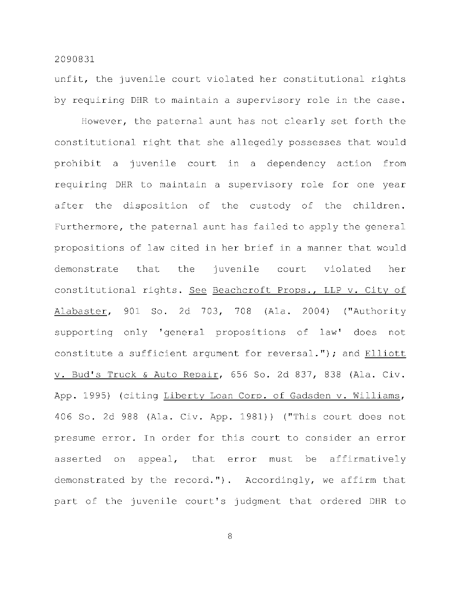unfit, the juvenile court violated her constitutional rights by requiring DHR to maintain a supervisory role in the case.

However, the paternal aunt has not clearly set forth the constitutional right that she allegedly possesses that would prohibit a juvenile court in a dependency action from requiring DHR to maintain a supervisory role for one year after the disposition of the custody of the children. Furthermore, the paternal aunt has failed to apply the general propositions of law cited in her brief in a manner that would demonstrate that the juvenile court violated her constitutional rights. See Beachcroft Props., LLP v. City of Alabaster, 901 So. 2d 703, 708 (Ala. 2004) ("Authority supporting only 'general propositions of law' does not constitute a sufficient argument for reversal."); and Elliott v. Bud's Truck & Auto Repair, 656 So. 2d 837, 838 (Ala. Civ. App. 1995) (citing Liberty Loan Corp. of Gadsden v. Williams, 406 So. 2d 988 (Ala. Civ. App. 1981)) ("This court does not presume error. In order for this court to consider an error asserted on appeal, that error must be affirmatively demonstrated by the record."). Accordingly, we affirm that part of the juvenile court's judgment that ordered DHR to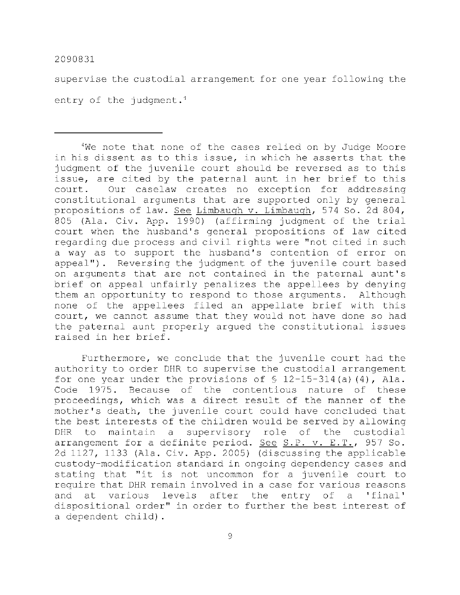supervise the custodial arrangement for one year following the entry of the judgment.<sup>1</sup>

<sup>4</sup>We note that none of the cases relied on by Judge Moore in his dissent as to this issue, in which he asserts that the judgment of the juvenile court should be reversed as to this issue, are cited by the paternal aunt in her brief to this court. Our caselaw creates no exception for addressing constitutional arguments that are supported only by general propositions of law. See Limbaugh v. Limbaugh, 574 So. 2d 804, 805 (Ala. Civ. App. 1990) (affirming judgment of the trial court when the husband's general propositions of law cited regarding due process and civil rights were "not cited in such a way as to support the husband's contention of error on appeal"). Reversing the judgment of the juvenile court based on arguments that are not contained in the paternal aunt's brief on appeal unfairly penalizes the appellees by denying them an opportunity to respond to those arguments. Although none of the appellees filed an appellate brief with this court, we cannot assume that they would not have done so had the paternal aunt properly argued the constitutional issues raised in her brief.

Furthermore, we conclude that the juvenile court had the authority to order DHR to supervise the custodial arrangement for one year under the provisions of  $\frac{12-15-314}{a}$  (4), Ala. Code 1975. Because of the contentious nature of these proceedings, which was a direct result of the manner of the mother's death, the juvenile court could have concluded that the best interests of the children would be served by allowing DHR to maintain a supervisory role of the custodial arrangement for a definite period. See S.P. v. E.T., 957 So. 2d 1127, 1133 (Ala. Civ. App. 2005) (discussing the applicable custody-modification standard in ongoing dependency cases and stating that "it is not uncommon for a juvenile court to require that DHR remain involved in a case for various reasons and at various levels after the entry of a 'final' dispositional order" in order to further the best interest of a dependent child) .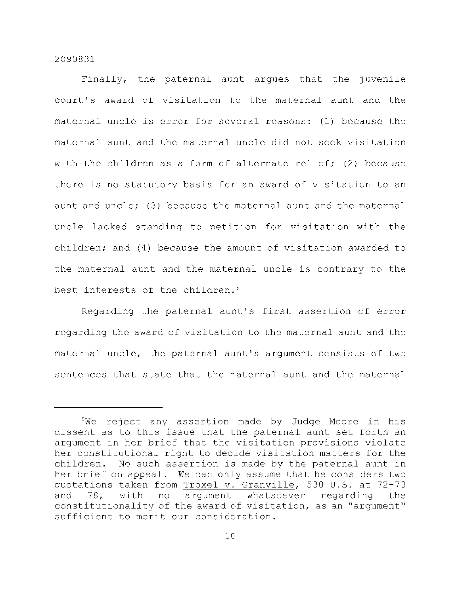Finally, the paternal aunt arques that the juvenile court's award of visitation to the maternal aunt and the maternal uncle is error for several reasons: (1) because the maternal aunt and the maternal uncle did not seek visitation with the children as a form of alternate relief; (2) because there is no statutory basis for an award of visitation to an aunt and uncle; (3) because the maternal aunt and the maternal uncle lacked standing to petition for visitation with the children; and  $(4)$  because the amount of visitation awarded to the maternal aunt and the maternal uncle is contrary to the best interests of the children.<sup>5</sup>

Regarding the paternal aunt's first assertion of error regarding the award of visitation to the maternal aunt and the maternal uncle, the paternal aunt's argument consists of two sentences that state that the maternal aunt and the maternal

 $5$ We reject any assertion made by Judge Moore in his dissent as to this issue that the paternal aunt set forth an argument in her brief that the visitation provisions violate her constitutional right to decide visitation matters for the children. No such assertion is made by the paternal aunt in her brief on appeal. We can only assume that he considers two quotations taken from Troxel v. Granville, 530 U.S. at 72-73 and 78, with no argument whatsoever regarding the constitutionality of the award of visitation, as an "argument" sufficient to merit our consideration.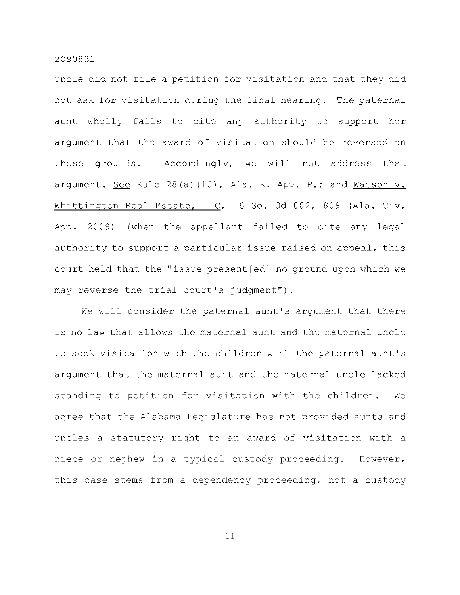uncle did not file a petition for visitation and that they did not ask for visitation during the final hearing. The paternal aunt wholly fails to cite any authority to support her argument that the award of visitation should be reversed on those grounds. Accordingly, we will not address that argument. See Rule  $28(a)$  (10), Ala. R. App. P.; and Watson  $v$ . Whittington Real Estate, LLC, 16 So. 3d 802, 809 (Ala. Civ. App. 2009) (when the appellant failed to cite any legal authority to support a particular issue raised on appeal, this court held that the "issue present [ed] no ground upon which we may reverse the trial court's judgment").

We will consider the paternal aunt's argument that there is no law that allows the maternal aunt and the maternal uncle to seek visitation with the children with the paternal aunt's argument that the maternal aunt and the maternal uncle lacked standing to petition for visitation with the children. We agree that the Alabama Legislature has not provided aunts and uncles a statutory right to an award of visitation with a niece or nephew in a typical custody proceeding. However, this case stems from a dependency proceeding, not a custody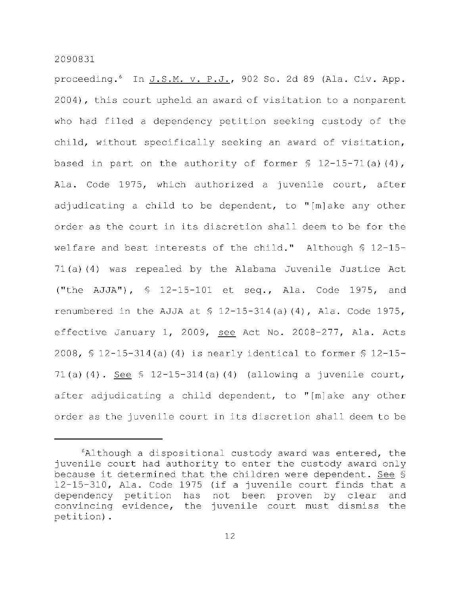proceeding.<sup>6</sup> In J.S.M. v. P.J., 902 So. 2d 89 (Ala. Civ. App. 2004), this court upheld an award of visitation to a nonparent who had filed a dependency petition seeking custody of the child, without specifically seeking an award of visitation, based in part on the authority of former  $$ 12-15-71(a) (4)$ , Ala. Code 1975, which authorized a juvenile court, after adjudicating a child to be dependent, to "[m]ake any other order as the court in its discretion shall deem to be for the welfare and best interests of the child." Although  $$ 12-15 71(a)(4)$  was repealed by the Alabama Juvenile Justice Act ("the AJJA"), § 12-15-101 et seq., Ala. Code 1975, and renumbered in the AJJA at  $\frac{12-15-314}{a}$  (4), Ala. Code 1975, effective January 1, 2009, see Act No. 2008-277, Ala. Acts 2008,  $\frac{12-15-314}{a}$  (4) is nearly identical to former  $\frac{12-15-16}{b}$ 71(a)(4). See  $\frac{12-15-314}{a}$ (a)(4) (allowing a juvenile court, after adjudicating a child dependent, to "[m]ake any other order as the juvenile court in its discretion shall deem to be

 $6$ Although a dispositional custody award was entered, the juvenile court had authority to enter the custody award only because it determined that the children were dependent. See §  $12-15-310$ , Ala. Code 1975 (if a juvenile court finds that a dependency petition has not been proven by clear and convincing evidence, the juvenile court must dismiss the petition) .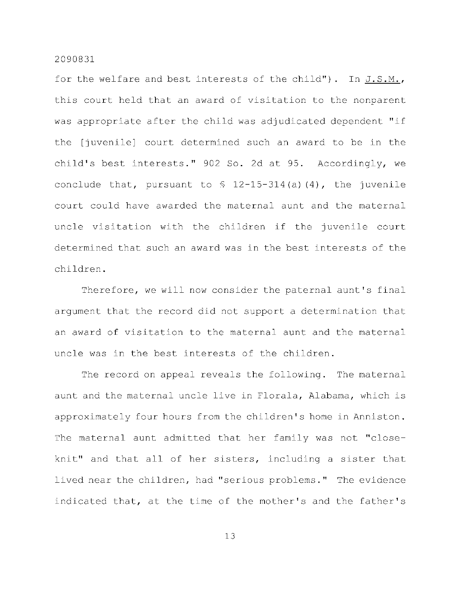for the welfare and best interests of the child"). In  $J.S.M.,$ this court held that an award of visitation to the nonparent was appropriate after the child was adjudicated dependent "if the [juvenile] court determined such an award to be in the child's best interests." 902 So. 2d at 95. Accordingly, we conclude that, pursuant to  $\frac{12-15-314}{a}$  (4), the juvenile court could have awarded the maternal aunt and the maternal uncle visitation with the children if the juvenile court determined that such an award was in the best interests of the children .

Therefore, we will now consider the paternal aunt's final argument that the record did not support a determination that an award of visitation to the maternal aunt and the maternal uncle was in the best interests of the children.

The record on appeal reveals the following. The maternal aunt and the maternal uncle live in Florala, Alabama, which is approximately four hours from the children's home in Anniston. The maternal aunt admitted that her family was not "closeknit" and that all of her sisters, including a sister that lived near the children, had "serious problems." The evidence indicated that, at the time of the mother's and the father's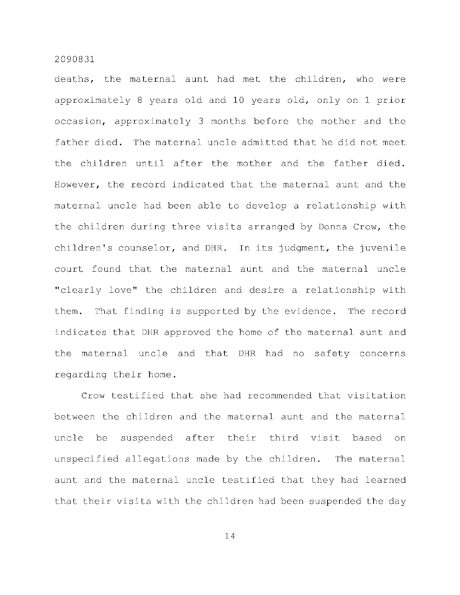deaths, the maternal aunt had met the children, who were approximately 8 years old and 10 years old, only on 1 prior occasion, approximately 3 months before the mother and the father died. The maternal uncle admitted that he did not meet the children until after the mother and the father died. However, the record indicated that the maternal aunt and the maternal uncle had been able to develop a relationship with the children during three visits arranged by Donna Crow, the children's counselor, and DHR. In its judgment, the juvenile court found that the maternal aunt and the maternal uncle "clearly love" the children and desire a relationship with them. That finding is supported by the evidence. The record indicates that DHR approved the home of the maternal aunt and the maternal uncle and that DHR had no safety concerns regarding their home.

Crow testified that she had recommended that visitation between the children and the maternal aunt and the maternal uncle be suspended after their third visit based on unspecified allegations made by the children. The maternal aunt and the maternal uncle testified that they had learned that their visits with the children had been suspended the day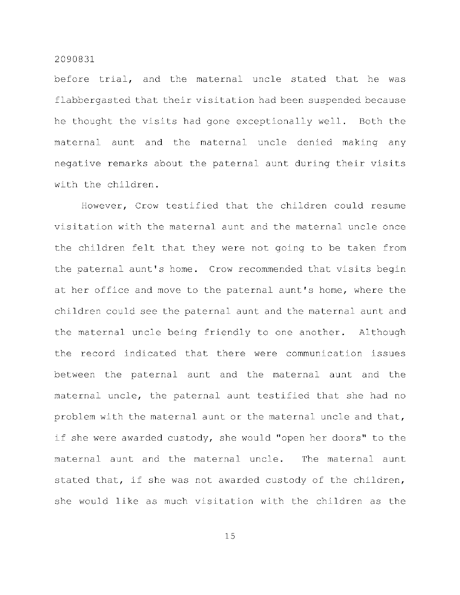before trial, and the maternal uncle stated that he was flabbergasted that their visitation had been suspended because he thought the visits had gone exceptionally well. Both the maternal aunt and the maternal uncle denied making any negative remarks about the paternal aunt during their visits with the children.

However, Crow testified that the children could resume visitation with the maternal aunt and the maternal uncle once the children felt that they were not going to be taken from the paternal aunt's home. Crow recommended that visits begin at her office and move to the paternal aunt's home, where the children could see the paternal aunt and the maternal aunt and the maternal uncle being friendly to one another. Although the record indicated that there were communication issues between the paternal aunt and the maternal aunt and the maternal uncle, the paternal aunt testified that she had no problem with the maternal aunt or the maternal uncle and that, if she were awarded custody, she would "open her doors" to the maternal aunt and the maternal uncle. The maternal aunt stated that, if she was not awarded custody of the children, she would like as much visitation with the children as the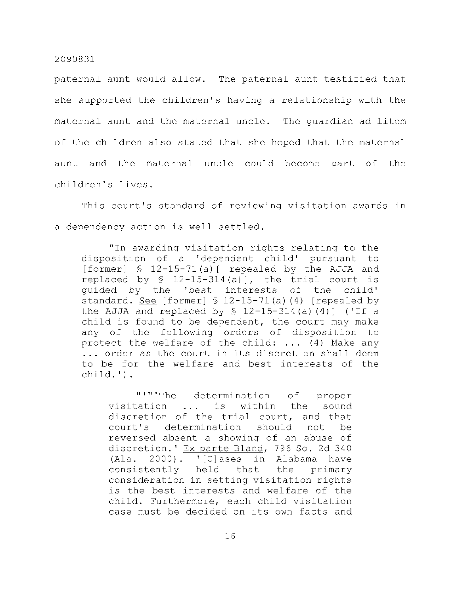paternal aunt would allow. The paternal aunt testified that she supported the children's having a relationship with the maternal aunt and the maternal uncle. The quardian ad litem of the children also stated that she hoped that the maternal aunt and the maternal uncle could become part of the children's lives.

This court's standard of reviewing visitation awards in a dependency action is well settled.

" In awarding visitation rights relating to the disposition of a 'dependent child' pursuant to [former]  $$ 12-15-71(a)$  [ repealed by the AJJA and replaced by  $\text{\$}$  12-15-314(a)], the trial court is quided by the 'best interests of the child' standard. See [former]  $\frac{12-15-71}{a}$  (4) [repealed by the AJJA and replaced by  $\frac{12-15-314}{a}$  (4)] ('If a child is found to be dependent, the court may make any of the following orders of disposition to protect the welfare of the child:  $\ldots$  (4) Make any ... order as the court in its discretion shall deem to be for the welfare and best interests of the child.') .

"'"'The determination of proper visitation ... is within the sound discretion of the trial court, and that court's determination should not be reversed absent a showing of an abuse of discretion.' Ex parte Bland, 796 So. 2d 340  $(Ala. 2000).$  '[C]ases in Alabama have consistently held that the primary consideration in setting visitation rights is the best interests and welfare of the case must be decided on its own facts and child. Furthermore, each child visitation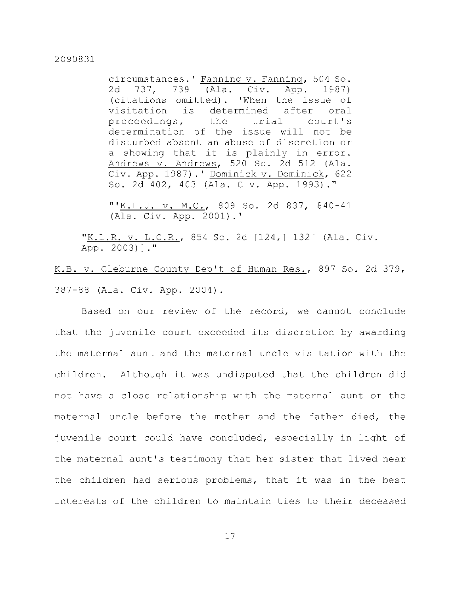circumstances.' Fanning v. Fanning, 504 So. 2d 737, 739 (Ala. Civ. App. 1987) (citations omitted). 'When the issue of visitation is determined after oral proceedings, the trial court's determination of the issue will not be disturbed absent an abuse of discretion or a showing that it is plainly in error. Andrews v. Andrews, 520 So. 2d 512 (Ala . Civ. App. 1987).' Dominick v. Dominick, 622 So. 2d 402, 403 (Ala. Civ. App. 1993)."

"'K.L.U. v. M.C., 809 So. 2d 837, 840-41 (Ala. Civ. App. 2001).'

"<u>K.L.R. v. L.C.R.</u>, 854 So. 2d [124,] 132[ (Ala. Civ. App. 2003)]."

K.B. v. Cleburne County Dep't of Human Res., 897 So. 2d 379, 387-88 (Ala. Civ. App. 2004).

Based on our review of the record, we cannot conclude that the juvenile court exceeded its discretion by awarding the maternal aunt and the maternal uncle visitation with the children. Although it was undisputed that the children did not have a close relationship with the maternal aunt or the maternal uncle before the mother and the father died, the juvenile court could have concluded, especially in light of the maternal aunt's testimony that her sister that lived near the children had serious problems, that it was in the best interests of the children to maintain ties to their deceased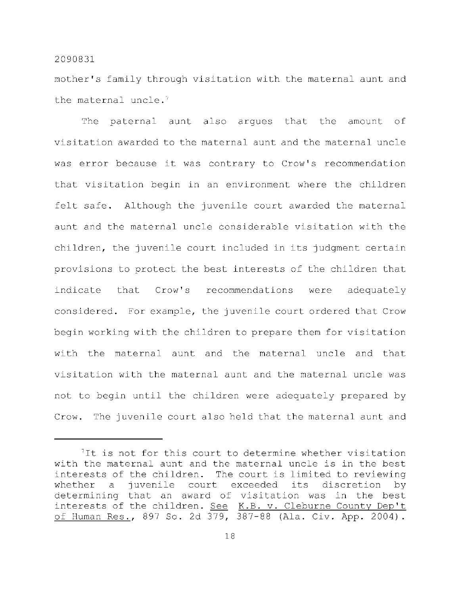mother's family through visitation with the maternal aunt and the maternal uncle.<sup> $7$ </sup>

The paternal aunt also arques that the amount of visitation awarded to the maternal aunt and the maternal uncle was error because it was contrary to Crow's recommendation that visitation begin in an environment where the children felt safe. Although the juvenile court awarded the maternal aunt and the maternal uncle considerable visitation with the children, the juvenile court included in its judgment certain provisions to protect the best interests of the children that indicate that Crow's recommendations were adequately considered. For example, the juvenile court ordered that Crow begin working with the children to prepare them for visitation with the maternal aunt and the maternal uncle and that visitation with the maternal aunt and the maternal uncle was not to begin until the children were adequately prepared by Crow. The juvenile court also held that the maternal aunt and

 $7$ It is not for this court to determine whether visitation with the maternal aunt and the maternal uncle is in the best interests of the children. The court is limited to reviewing whether a juvenile court exceeded its discretion by determining that an award of visitation was in the best interests of the children. See K.B. v. Cleburne County Dep't of Human Res., 897 So. 2d 379, 387-88 (Ala. Civ. App. 2004).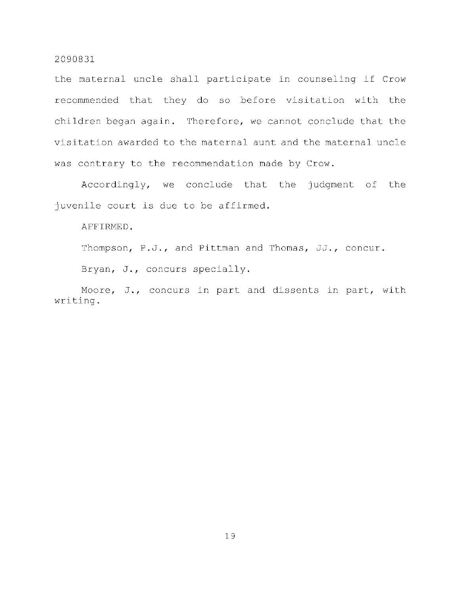the maternal uncle shall participate in counseling if Crow recommended that they do so before visitation with the children began again. Therefore, we cannot conclude that the visitation awarded to the maternal aunt and the maternal uncle was contrary to the recommendation made by Crow.

Accordingly, we conclude that the judgment of the juvenile court is due to be affirmed.

AFFIRMED.

Thompson, P.J., and Pittman and Thomas, JJ., concur.

Bryan, J., concurs specially.

Moore, J., concurs in part and dissents in part, with writing .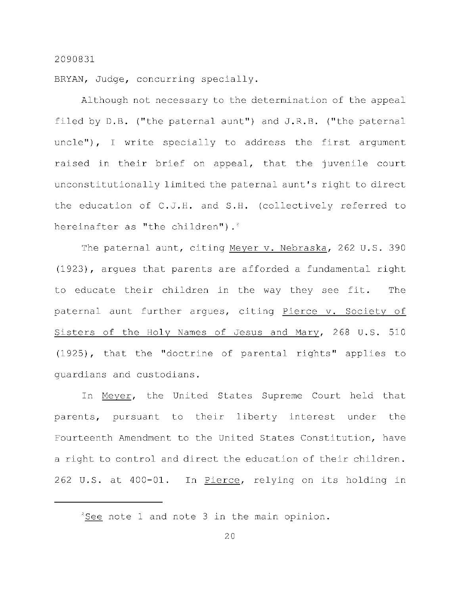BRYAN, Judge, concurring specially.

Although not necessary to the determination of the appeal filed by  $D.B.$  ("the paternal aunt") and  $J.R.B.$  ("the paternal uncle"), I write specially to address the first argument raised in their brief on appeal, that the juvenile court unconstitutionally limited the paternal aunt's right to direct the education of C.J.H. and S.H. (collectively referred to hereinafter as "the children").<sup>3</sup>

The paternal aunt, citing Meyer v. Nebraska, 262 U.S. 390  $(1923)$ , argues that parents are afforded a fundamental right to educate their children in the way they see fit. The paternal aunt further arques, citing Pierce v. Society of Sisters of the Holy Names of Jesus and Mary, 268 U.S. 510  $(1925)$ , that the "doctrine of parental rights" applies to quardians and custodians.

In Meyer, the United States Supreme Court held that parents, pursuant to their liberty interest under the Fourteenth Amendment to the United States Constitution, have a right to control and direct the education of their children. 262 U.S. at 400-01. In Pierce, relying on its holding in

 ${}^{3}$ See note 1 and note 3 in the main opinion.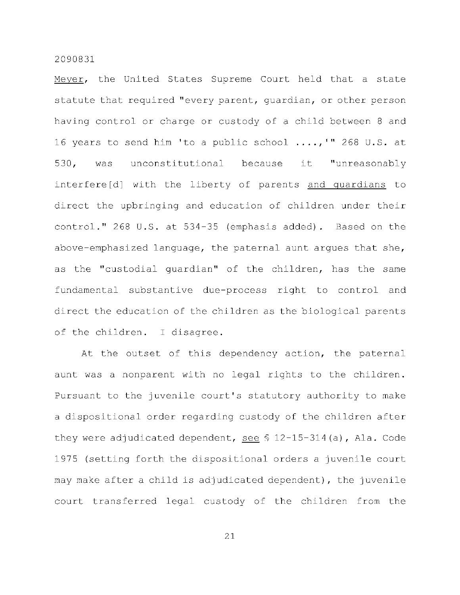Meyer, the United States Supreme Court held that a state statute that required "every parent, quardian, or other person having control or charge or custody of a child between 8 and 16 years to send him 'to a public school  $\ldots$ , '" 268 U.S. at 530, was unconstitutional because it "unreasonably interfere[d] with the liberty of parents and quardians to direct the upbringing and education of children under their control." 268 U.S. at 534-35 (emphasis added). Based on the above-emphasized language, the paternal aunt argues that she, as the "custodial quardian" of the children, has the same fundamental substantive due-process right to control and direct the education of the children as the biological parents of the children. I disagree.

At the outset of this dependency action, the paternal aunt was a nonparent with no legal rights to the children. Pursuant to the juvenile court's statutory authority to make a dispositional order regarding custody of the children after they were adjudicated dependent, see  $$ 12-15-314(a)$ , Ala. Code 1975 (setting forth the dispositional orders a juvenile court may make after a child is adjudicated dependent), the juvenile court transferred legal custody of the children from the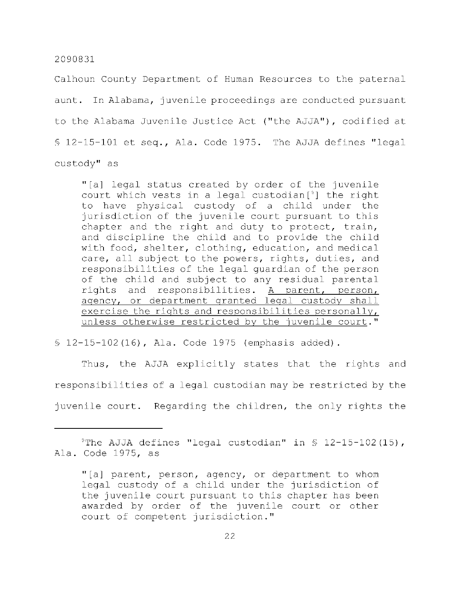Calhoun County Department of Human Resources to the paternal aunt. In Alabama, juvenile proceedings are conducted pursuant to the Alabama Juvenile Justice Act ("the AJJA"), codified at  $$12-15-101$  et seq., Ala. Code 1975. The AJJA defines "legal custody" as

"[a] legal status created by order of the juvenile court which vests in a legal custodian $[$ <sup>3</sup>] the right to have physical custody of a child under the jurisdiction of the juvenile court pursuant to this chapter and the right and duty to protect, train, and discipline the child and to provide the child with food, shelter, clothing, education, and medical care, all subject to the powers, rights, duties, and responsibilities of the legal guardian of the person of the child and subject to any residual parental rights and responsibilities. A parent, person, agency, or department granted legal custody shall exercise the rights and responsibilities personally, unless otherwise restricted by the juvenile court."

 $$ 12-15-102(16)$ , Ala. Code 1975 (emphasis added).

Thus, the AJJA explicitly states that the rights and responsibilities of a legal custodian may be restricted by the juvenile court. Regarding the children, the only rights the

<sup>&</sup>lt;sup>9</sup> The AJJA defines "legal custodian" in  $\frac{1}{5}$  12-15-102 (15), Ala. Code 1975, as

<sup>&</sup>quot;[a] parent, person, agency, or department to whom legal custody of a child under the jurisdiction of the juvenile court pursuant to this chapter has been awarded by order of the juvenile court or other court of competent jurisdiction."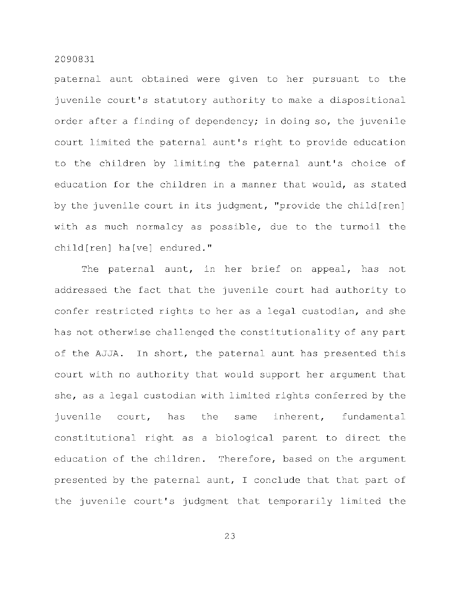paternal aunt obtained were given to her pursuant to the juvenile court's statutory authority to make a dispositional order after a finding of dependency; in doing so, the juvenile court limited the paternal aunt's right to provide education to the children by limiting the paternal aunt's choice of education for the children in a manner that would, as stated by the juvenile court in its judgment, "provide the child[ren] with as much normalcy as possible, due to the turmoil the  $child[ren]$  ha[ve] endured."

The paternal aunt, in her brief on appeal, has not addressed the fact that the juvenile court had authority to confer restricted rights to her as a legal custodian, and she has not otherwise challenged the constitutionality of any part of the AJJA. In short, the paternal aunt has presented this court with no authority that would support her argument that she, as a legal custodian with limited rights conferred by the juvenile court, has the same inherent, fundamental constitutional right as a biological parent to direct the education of the children. Therefore, based on the argument presented by the paternal aunt, I conclude that that part of the juvenile court's judgment that temporarily limited the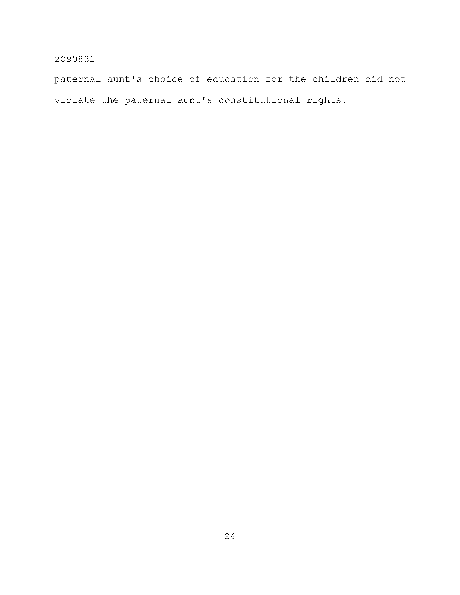paternal aunt's choice of education for the children did not violate the paternal aunt's constitutional rights.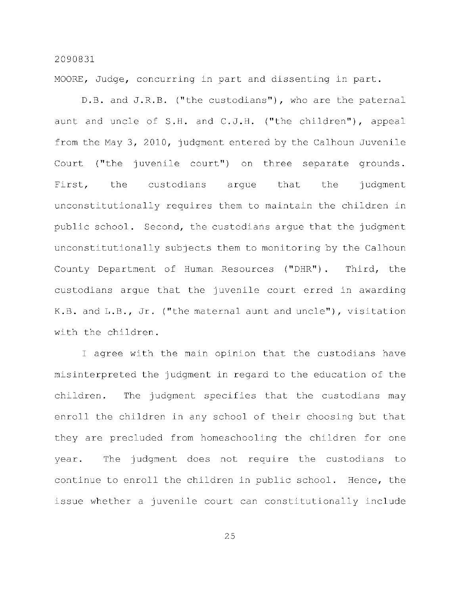MOORE, Judge, concurring in part and dissenting in part.

D.B. and J.R.B. ("the custodians"), who are the paternal aunt and uncle of S.H. and C.J.H. ("the children"), appeal from the May 3, 2010, judgment entered by the Calhoun Juvenile Court ("the juvenile court") on three separate grounds. First, the custodians argue that the judgment unconstitutionally requires them to maintain the children in public school. Second, the custodians argue that the judgment unconstitutionally subjects them to monitoring by the Calhoun County Department of Human Resources ("DHR"). Third, the custodians arque that the juvenile court erred in awarding K.B. and  $L.B., Jr.$  ("the maternal aunt and uncle"), visitation with the children.

I agree with the main opinion that the custodians have misinterpreted the judgment in regard to the education of the children. The judgment specifies that the custodians may enroll the children in any school of their choosing but that they are precluded from homeschooling the children for one year. The judgment does not require the custodians to continue to enroll the children in public school. Hence, the issue whether a juvenile court can constitutionally include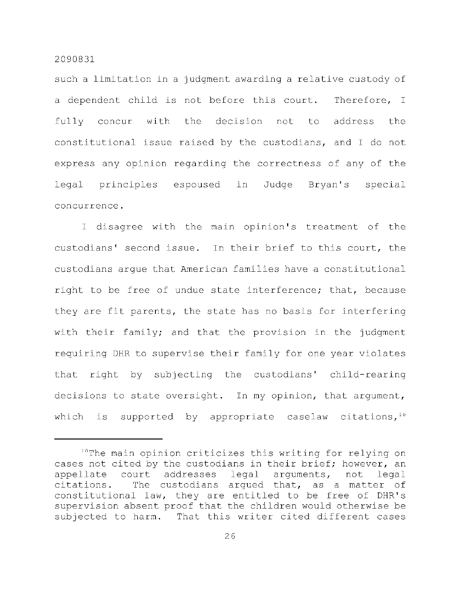such a limitation in a judgment awarding a relative custody of a dependent child is not before this court. Therefore, I fully concur with the decision not to address the constitutional issue raised by the custodians, and I do not express any opinion regarding the correctness of any of the legal principles espoused in Judge Bryan's special concurrence .

I disagree with the main opinion's treatment of the custodians' second issue. In their brief to this court, the custodians arque that American families have a constitutional right to be free of undue state interference; that, because they are fit parents, the state has no basis for interfering with their family; and that the provision in the judgment requiring DHR to supervise their family for one year violates that right by subjecting the custodians' child-rearing decisions to state oversight. In my opinion, that argument, which is supported by appropriate caselaw citations,  $10$ 

<sup>&</sup>lt;sup>10</sup> The main opinion criticizes this writing for relying on cases not cited by the custodians in their brief; however, an appellate court addresses legal arguments, not legal  $citations.$  The custodians argued that, as a matter of constitutional law, they are entitled to be free of DHR's supervision absent proof that the children would otherwise be subjected to harm. That this writer cited different cases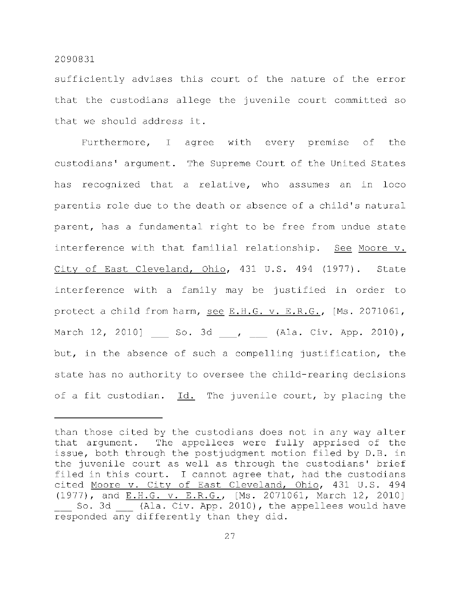sufficiently advises this court of the nature of the error that the custodians allege the juvenile court committed so that we should address it.

Furthermore, I agree with every premise of the custodians' argument. The Supreme Court of the United States has recognized that a relative, who assumes an in loco parentis role due to the death or absence of a child's natural parent, has a fundamental right to be free from undue state interference with that familial relationship. See Moore v. City of East Cleveland, Ohio, 431 U.S. 494 (1977). State interference with a family may be justified in order to protect a child from harm, see E.H.G. v. E.R.G., [Ms. 2071061, March 12, 2010] So. 3d , (Ala. Civ. App. 2010), but, in the absence of such a compelling justification, the state has no authority to oversee the child-rearing decisions of a fit custodian.  $Id.$  The juvenile court, by placing the

than those cited by the custodians does not in any way alter that argument. The appellees were fully apprised of the issue, both through the postjudgment motion filed by D.B. in the juvenile court as well as through the custodians' brief filed in this court. I cannot agree that, had the custodians cited Moore v. City of East Cleveland, Ohio, 431 U.S. 494 (1977), and E.H.G. v. E.R.G., [Ms. 2071061, March 12, 2010] So. 3d (Ala. Civ. App. 2010), the appellees would have responded any differently than they did.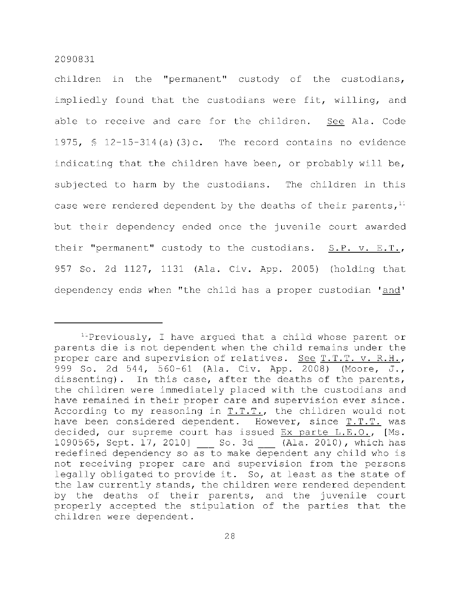children in the "permanent" custody of the custodians, impliedly found that the custodians were fit, willing, and able to receive and care for the children. See Ala. Code 1975,  $\frac{1}{2}$  12-15-314(a)(3)c. The record contains no evidence indicating that the children have been, or probably will be, subjected to harm by the custodians. The children in this case were rendered dependent by the deaths of their parents,  $11$ but their dependency ended once the juvenile court awarded their "permanent" custody to the custodians.  $S.P. v. E.T.,$ 957 So. 2d 1127, 1131 (Ala. Civ. App. 2005) (holding that dependency ends when "the child has a proper custodian 'and'

<sup>&</sup>lt;sup>11</sup> Previously, I have argued that a child whose parent or parents die is not dependent when the child remains under the proper care and supervision of relatives. See  $T.T.T.$  v. R.H., 999 So. 2d 544, 560-61 (Ala. Civ. App. 2008) (Moore, J., dissenting). In this case, after the deaths of the parents, the children were immediately placed with the custodians and have remained in their proper care and supervision ever since. According to my reasoning in  $T.T.T.,$  the children would not have been considered dependent. However, since T.T.T. was decided, our supreme court has issued Ex parte  $L.E.O.,$  [Ms. 1090565, Sept. 17, 2010] So. 3d (Ala. 2010), which has redefined dependency so as to make dependent any child who is not receiving proper care and supervision from the persons legally obligated to provide it. So, at least as the state of the law currently stands, the children were rendered dependent by the deaths of their parents, and the juvenile court properly accepted the stipulation of the parties that the children were dependent.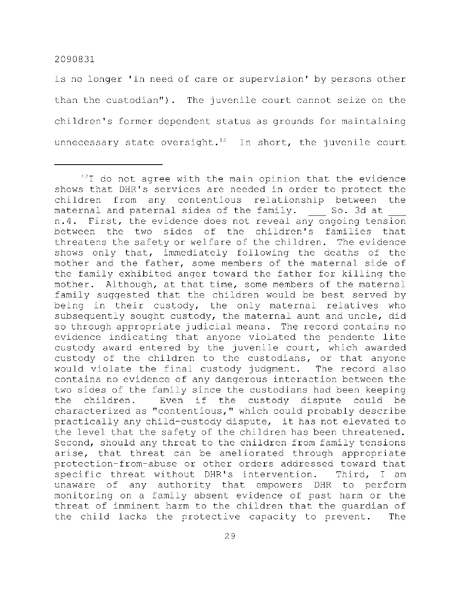is no longer 'in need of care or supervision' by persons other than the custodian"). The juvenile court cannot seize on the children's former dependent status as grounds for maintaining unnecessary state oversight.<sup>12</sup> In short, the juvenile court

 $12$  do not agree with the main opinion that the evidence shows that DHR's services are needed in order to protect the children from any contentious relationship between the<br>maternal and paternal sides of the family. So. 3d at maternal and paternal sides of the family. n.4. First, the evidence does not reveal any ongoing tension between the two sides of the children's families that threatens the safety or welfare of the children. The evidence shows only that, immediately following the deaths of the mother and the father, some members of the maternal side of the family exhibited anger toward the father for killing the mother. Although, at that time, some members of the maternal family suggested that the children would be best served by being in their custody, the only maternal relatives who subsequently sought custody, the maternal aunt and uncle, did so through appropriate judicial means. The record contains no evidence indicating that anyone violated the pendente lite custody award entered by the juvenile court, which awarded custody of the children to the custodians, or that anyone would violate the final custody judgment. The record also contains no evidence of any dangerous interaction between the two sides of the family since the custodians had been keeping the children. Even if the custody dispute could be characterized as "contentious," which could probably describe practically any child-custody dispute, it has not elevated to the level that the safety of the children has been threatened. Second, should any threat to the children from family tensions arise, that threat can be ameliorated through appropriate protection-from-abuse or other orders addressed toward that specific threat without DHR's intervention. Third, I am unaware of any authority that empowers DHR to perform monitoring on a family absent evidence of past harm or the threat of imminent harm to the children that the quardian of the child lacks the protective capacity to prevent. The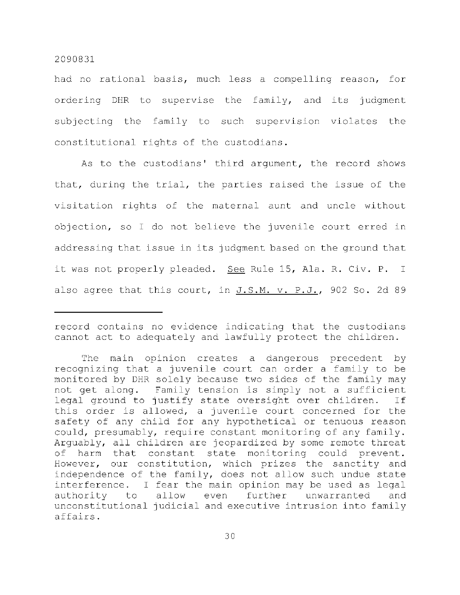had no rational basis, much less a compelling reason, for ordering DHR to supervise the family, and its judgment subjecting the family to such supervision violates the constitutional rights of the custodians.

As to the custodians' third argument, the record shows that, during the trial, the parties raised the issue of the visitation rights of the maternal aunt and uncle without objection, so I do not believe the juvenile court erred in addressing that issue in its judgment based on the ground that it was not properly pleaded. See Rule 15, Ala. R. Civ. P. I also agree that this court, in J.S.M. v. P.J., 902 So. 2d 89

record contains no evidence indicating that the custodians cannot act to adequately and lawfully protect the children.

The main opinion creates a dangerous precedent by recognizing that a juvenile court can order a family to be monitored by DHR solely because two sides of the family may not get along. Family tension is simply not a sufficient legal ground to justify state oversight over children. If this order is allowed, a juvenile court concerned for the safety of any child for any hypothetical or tenuous reason could, presumably, require constant monitoring of any family. Arguably, all children are jeopardized by some remote threat of harm that constant state monitoring could prevent. However, our constitution, which prizes the sanctity and independence of the family, does not allow such undue state interference. I fear the main opinion may be used as legal authority to allow even further unwarranted and unconstitutional judicial and executive intrusion into family affairs .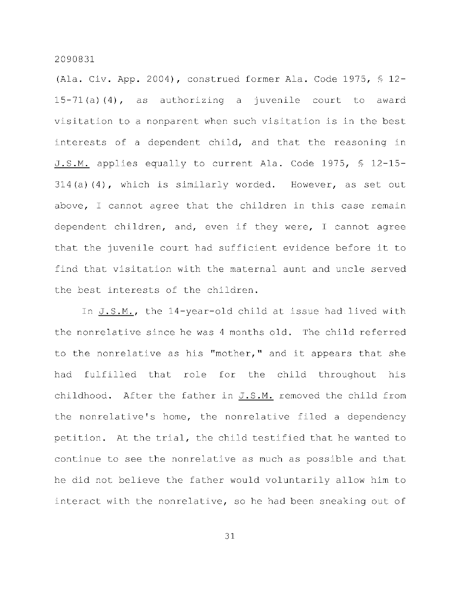(Ala. Civ. App. 2004), construed former Ala. Code 1975,  $\frac{1}{2}$  12-15-71(a)(4), as authorizing a juvenile court to award visitation to a nonparent when such visitation is in the best interests of a dependent child, and that the reasoning in J.S.M. applies equally to current Ala. Code 1975, § 12-15- $314(a)(4)$ , which is similarly worded. However, as set out above, I cannot agree that the children in this case remain dependent children, and, even if they were, I cannot agree that the juvenile court had sufficient evidence before it to find that visitation with the maternal aunt and uncle served the best interests of the children.

In  $J.S.M.,$  the  $14$ -year-old child at issue had lived with the nonrelative since he was 4 months old. The child referred to the nonrelative as his "mother," and it appears that she had fulfilled that role for the child throughout his childhood. After the father in  $J.S.M.$  removed the child from the nonrelative's home, the nonrelative filed a dependency petition. At the trial, the child testified that he wanted to continue to see the nonrelative as much as possible and that he did not believe the father would voluntarily allow him to interact with the nonrelative, so he had been sneaking out of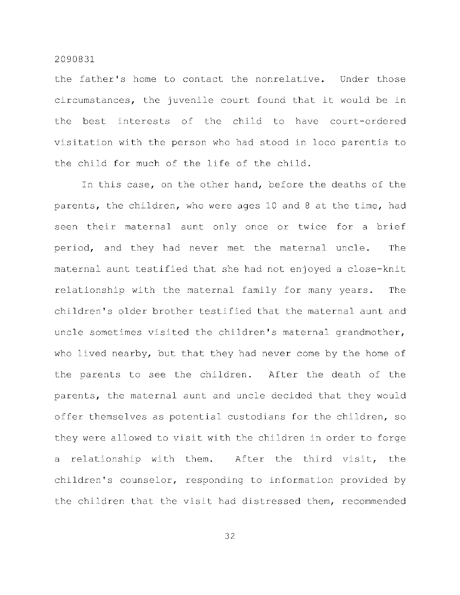the father's home to contact the nonrelative. Under those circumstances, the juvenile court found that it would be in the best interests of the child to have court-ordered visitation with the person who had stood in loco parentis to the child for much of the life of the child.

In this case, on the other hand, before the deaths of the parents, the children, who were ages 10 and 8 at the time, had seen their maternal aunt only once or twice for a brief period, and they had never met the maternal uncle. The maternal aunt testified that she had not enjoyed a close-knit relationship with the maternal family for many years. The children's older brother testified that the maternal aunt and uncle sometimes visited the children's maternal grandmother, who lived nearby, but that they had never come by the home of the parents to see the children. After the death of the parents, the maternal aunt and uncle decided that they would offer themselves as potential custodians for the children, so they were allowed to visit with the children in order to forge a relationship with them. After the third visit, the children's counselor, responding to information provided by the children that the visit had distressed them, recommended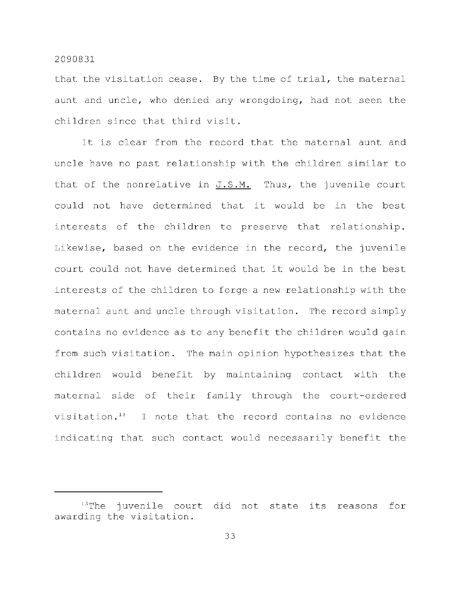that the visitation cease. By the time of trial, the maternal aunt and uncle, who denied any wrongdoing, had not seen the children since that third visit.

It is clear from the record that the maternal aunt and uncle have no past relationship with the children similar to that of the nonrelative in  $J.S.M.$  Thus, the juvenile court could not have determined that it would be in the best interests of the children to preserve that relationship. Likewise, based on the evidence in the record, the juvenile court could not have determined that it would be in the best interests of the children to forge a new relationship with the maternal aunt and uncle through visitation. The record simply contains no evidence as to any benefit the children would gain from such visitation. The main opinion hypothesizes that the children would benefit by maintaining contact with the maternal side of their family through the court-ordered visitation. $13$  I note that the record contains no evidence indicating that such contact would necessarily benefit the

 $13$ The juvenile court did not state its reasons for awarding the visitation.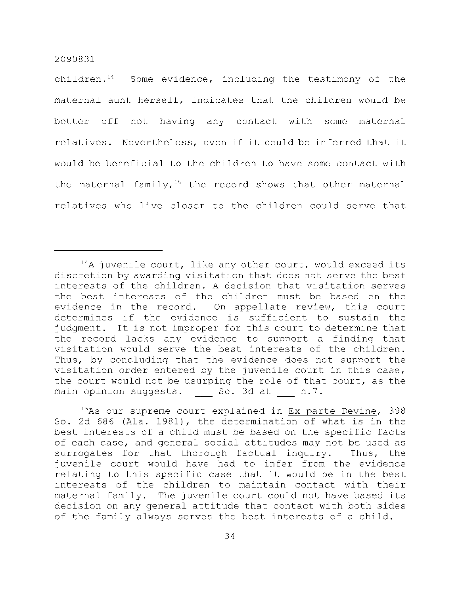children. $11$  Some evidence, including the testimony of the maternal aunt herself, indicates that the children would be better off not having any contact with some maternal relatives. Nevertheless, even if it could be inferred that it would be beneficial to the children to have some contact with the maternal family,<sup>15</sup> the record shows that other maternal relatives who live closer to the children could serve that

 $15As$  our supreme court explained in Ex parte Devine, 398 So. 2d 686 (Ala. 1981), the determination of what is in the best interests of a child must be based on the specific facts of each case, and general social attitudes may not be used as surrogates for that thorough factual inquiry. Thus, the juvenile court would have had to infer from the evidence relating to this specific case that it would be in the best interests of the children to maintain contact with their maternal family. The juvenile court could not have based its decision on any general attitude that contact with both sides of the family always serves the best interests of a child.

 $14A$  juvenile court, like any other court, would exceed its discretion by awarding visitation that does not serve the best interests of the children. A decision that visitation serves the best interests of the children must be based on the evidence in the record. On appellate review, this court determines if the evidence is sufficient to sustain the judgment. It is not improper for this court to determine that the record lacks any evidence to support a finding that visitation would serve the best interests of the children. Thus, by concluding that the evidence does not support the visitation order entered by the juvenile court in this case, the court would not be usurping the role of that court, as the main opinion suggests. So. 3d at n.7.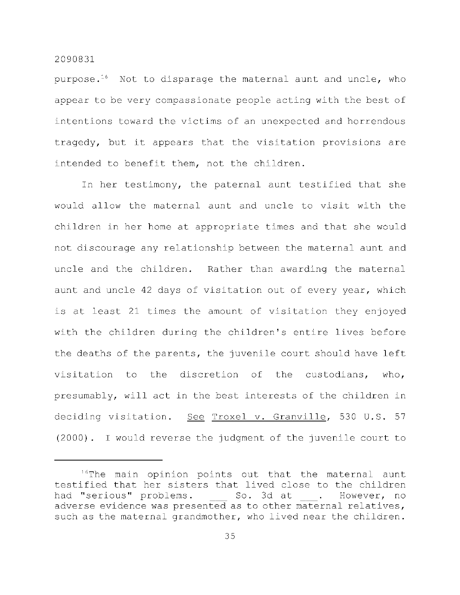purpose.<sup>16</sup> Not to disparage the maternal aunt and uncle, who appear to be very compassionate people acting with the best of intentions toward the victims of an unexpected and horrendous tragedy, but it appears that the visitation provisions are intended to benefit them, not the children.

In her testimony, the paternal aunt testified that she would allow the maternal aunt and uncle to visit with the children in her home at appropriate times and that she would not discourage any relationship between the maternal aunt and uncle and the children. Rather than awarding the maternal aunt and uncle 42 days of visitation out of every year, which is at least 21 times the amount of visitation they enjoyed with the children during the children's entire lives before the deaths of the parents, the juvenile court should have left visitation to the discretion of the custodians, who, presumably, will act in the best interests of the children in deciding visitation. See Troxel v. Granville, 530 U.S. 57  $(2000)$ . I would reverse the judgment of the juvenile court to

 $16$ The main opinion points out that the maternal aunt testified that her sisters that lived close to the children had "serious" problems. So. 3d at . However, no adverse evidence was presented as to other maternal relatives, such as the maternal grandmother, who lived near the children.